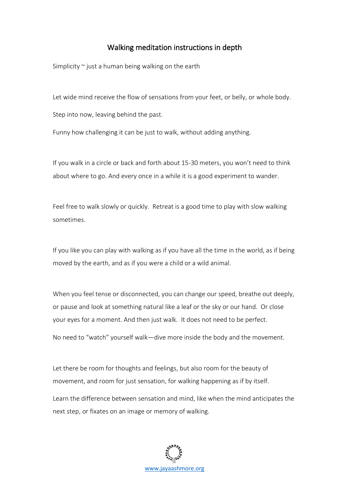## Walking meditation instructions in depth

Simplicity  $\sim$  just a human being walking on the earth

Let wide mind receive the flow of sensations from your feet, or belly, or whole body.

Step into now, leaving behind the past.

Funny how challenging it can be just to walk, without adding anything.

If you walk in a circle or back and forth about 15-30 meters, you won't need to think about where to go. And every once in a while it is a good experiment to wander.

Feel free to walk slowly or quickly. Retreat is a good time to play with slow walking sometimes.

If you like you can play with walking as if you have all the time in the world, as if being moved by the earth, and as if you were a child or a wild animal.

When you feel tense or disconnected, you can change our speed, breathe out deeply, or pause and look at something natural like a leaf or the sky or our hand. Or close your eyes for a moment. And then just walk. It does not need to be perfect. No need to "watch" yourself walk—dive more inside the body and the movement.

Let there be room for thoughts and feelings, but also room for the beauty of movement, and room for just sensation, for walking happening as if by itself.

Learn the difference between sensation and mind, like when the mind anticipates the next step, or fixates on an image or memory of walking.